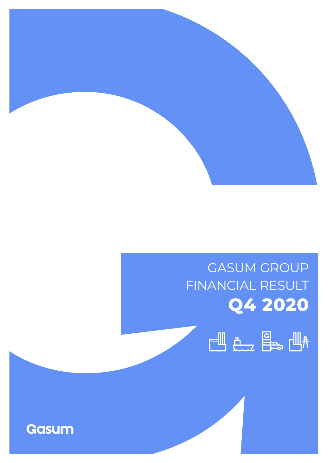

# GASUM GROUP FINANCIAL RESULT **Q4 2020**



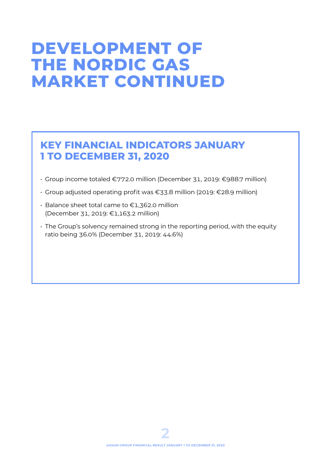# **DEVELOPMENT OF THE NORDIC GAS MARKET CONTINUED**

# **KEY FINANCIAL INDICATORS JANUARY 1 TO DECEMBER 31, 2020**

- Group income totaled €772.0 million (December 31, 2019: €988.7 million)
- Group adjusted operating profit was €33.8 million (2019: €28.9 million)
- Balance sheet total came to €1,362.0 million (December 31, 2019: €1,163.2 million)
- The Group's solvency remained strong in the reporting period, with the equity ratio being 36.0% (December 31, 2019: 44.6%)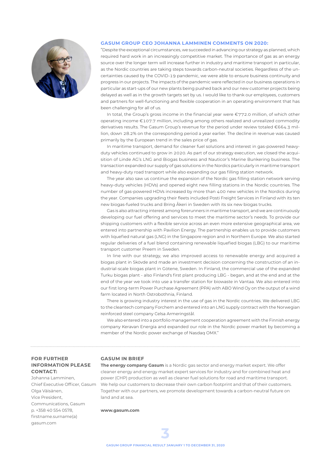

### **GASUM GROUP CEO JOHANNA LAMMINEN COMMENTS ON 2020:**

"Despite the exceptional circumstances, we succeeded in advancing our strategy as planned, which required hard work in an increasingly competitive market. The importance of gas as an energy source over the longer term will increase further in industry and maritime transport in particular, as the Nordic countries are taking steps towards carbon-neutral societies. Regardless of the uncertainties caused by the COVID-19 pandemic, we were able to ensure business continuity and progress in our projects. The impacts of the pandemic were reflected in our business operations in particular as start-ups of our new plants being pushed back and our new customer projects being delayed as well as in the growth targets set by us. I would like to thank our employees, customers and partners for well-functioning and flexible cooperation in an operating environment that has been challenging for all of us.

In total, the Group's gross income in the financial year were €772.0 million, of which other operating income €107.7 million, including among others realized and unrealized commodity derivatives results. The Gasum Group's revenue for the period under review totaled €664.3 million, down 28.2% on the corresponding period a year earlier. The decline in revenue was caused primarily by the European trend in the sales price of gas.

In maritime transport, demand for cleaner fuel solutions and interest in gas-powered heavyduty vehicles continued to grow in 2020. As part of our strategy execution, we closed the acquisition of Linde AG's LNG and Biogas business and Nauticor's Marine Bunkering business. The transaction expanded our supply of gas solutions in the Nordics particularly in maritime transport and heavy-duty road transport while also expanding our gas filling station network.

The year also saw us continue the expansion of the Nordic gas filling station network serving heavy-duty vehicles (HDVs) and opened eight new filling stations in the Nordic countries. The number of gas-powered HDVs increased by more than 400 new vehicles in the Nordics during the year. Companies upgrading their fleets included Posti Freight Services in Finland with its ten new biogas-fueled trucks and Bring Åkeri in Sweden with its six new biogas trucks.

Gas is also attracting interest among forerunners in maritime transport, and we are continuously developing our fuel offering and services to meet the maritime sector's needs. To provide our shipping customers with a flexible service across an even more extensive geographical area, we entered into partnership with Pavilion Energy. The partnership enables us to provide customers with liquefied natural gas (LNG) in the Singapore region and in Northern Europe. We also started regular deliveries of a fuel blend containing renewable liquefied biogas (LBG) to our maritime transport customer Preem in Sweden.

In line with our strategy, we also improved access to renewable energy and acquired a biogas plant in Skövde and made an investment decision concerning the construction of an industrial-scale biogas plant in Götene, Sweden. In Finland, the commercial use of the expanded Turku biogas plant - also Finland's first plant producing LBG - began, and at the end and at the end of the year we took into use a transfer station for biowaste in Vantaa. We also entered into our first long-term Power Purchase Agreement (PPA) with ABO Wind Oy on the output of a wind farm located in North Ostrobothnia, Finland.

There is growing industry interest in the use of gas in the Nordic countries. We delivered LBG to the cleantech company Forchem and entered into an LNG supply contract with the Norwegian reinforced steel company Celsa Armeringstål.

We also entered into a portfolio management cooperation agreement with the Finnish energy company Keravan Energia and expanded our role in the Nordic power market by becoming a member of the Nordic power exchange of Nasdaq OMX."

### **FOR FURTHER INFORMATION PLEASE CONTACT:**

Johanna Lamminen, Chief Executive Officer, Gasum Olga Väisänen, Vice President, Communications, Gasum p. +358 40 554 0578, firstname.surname(a) gasum.com

### **GASUM IN BRIEF**

**The energy company Gasum** is a Nordic gas sector and energy market expert. We offer cleaner energy and energy market expert services for industry and for combined heat and power (CHP) production as well as cleaner fuel solutions for road and maritime transport. We help our customers to decrease their own carbon footprint and that of their customers. Together with our partners, we promote development towards a carbon-neutral future on land and at sea.

#### **www.gasum.com**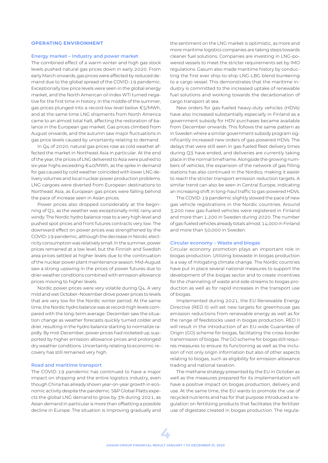#### **OPERATING ENVIRONMENT**

#### **Energy market – Industry and power market**

The combined effect of a warm winter and high gas stock levels pushed natural gas prices down in early 2020. From early March onwards, gas prices were affected by reduced demand due to the global spread of the COVID-19 pandemic. Exceptionally low price levels were seen in the global energy market, and the North American oil index WTI turned negative for the first time in history. In the middle of the summer, gas prices plunged into a record-low level below €5/MWh, and at the same time LNG shipments from North America came to an almost total halt, affecting the restoration of balance in the European gas market. Gas prices climbed from August onwards, and the autumn saw major fluctuations in gas price levels caused by uncertainty relating to demand.

In Q4 of 2020, natural gas prices rose as cold weather affected the market in Northeast Asia in particular. At the end of the year, the prices of LNG delivered to Asia were pushed to six-year highs exceeding €40/MWh, as the spike in demand for gas caused by cold weather coincided with lower LNG delivery volumes and local nuclear power production problems. LNG cargoes were diverted from European destinations to Northeast Asia, as European gas prices were falling behind the pace of increase seen in Asian prices.

Power prices also dropped considerably at the beginning of Q1, as the weather was exceptionally mild, rainy and windy. The Nordic hydro balance rose to a very high level and pushed spot prices and front futures contracts very low. The downward effect on power prices was strengthened by the COVID-19 pandemic, although the decrease in Nordic electricity consumption was relatively small. In the summer, power prices remained at a low level, but the Finnish and Swedish area prices settled at higher levels due to the continuation of the nuclear power plant maintenance season. Mid-August saw a strong upswing in the prices of power futures due to drier weather conditions combined with emission allowance prices moving to higher levels.

Nordic power prices were very volatile during Q4. A very mild and wet October–November drove power prices to levels that are very low for the Nordic winter period. At the same time, the Nordic hydro balance was at record-high levels compared with the long-term average. December saw the situation change as weather forecasts quickly turned colder and drier, resulting in the hydro balance starting to normalize rapidly. By mid-December, power prices had rocketed up, supported by higher emission allowance prices and prolonged dry weather conditions. Uncertainty relating to economic recovery has still remained very high.

#### **Road and maritime transport**

The COVID-19 pandemic has continued to have a major impact on shipping and the entire logistics industry, even though China has already shown year-on-year growth in economic activity despite the pandemic. S&P Global Platts expects the global LNG demand to grow by 3% during 2021, as Asian demand in particular is more than offsetting a possible decline in Europe. The situation is improving gradually and the sentiment on the LNG market is optimistic, as more and more maritime logistics companies are taking steps towards cleaner fuel solutions. Companies are investing in LNG-powered vessels to meet the stricter requirements set by IMO regulations. Gasum also made maritime history by conducting the first ever ship-to-ship LNG-LBG blend bunkering to a cargo vessel. This demonstrates that the maritime industry is committed to the increased uptake of renewable fuel solutions and working towards the decarbonation of cargo transport at sea.

New orders for gas-fueled heavy-duty vehicles (HDVs) have also increased substantially especially in Finland as a government subsidy for HDV purchases became available from December onwards. This follows the same pattern as in Sweden where a similar government subsidy program significantly increased new orders of gas-powered HDVs. The delays that were still seen in gas-fueled fleet delivery times during Q3 have ended, and deliveries are currently taking place in the normal timeframe. Alongside the growing numbers of vehicles, the expansion of the network of gas filling stations has also continued in the Nordics, making it easier to reach the stricter transport emission reduction targets. A similar trend can also be seen in Central Europe, indicating an increasing shift in long-haul traffic to gas-powered HDVs.

The COVID-19 pandemic slightly slowed the pace of new gas vehicle registrations in the Nordic countries. Around 3,200 new gas-fueled vehicles were registered in Finland and more than 1,200 in Sweden during 2020. The number of gas-fueled vehicles already totals almost 14,000 in Finland and more than 50,000 in Sweden.

#### **Circular economy – Waste and biogas**

Circular economy promotion plays an important role in biogas production. Utilizing biowaste in biogas production is a way of mitigating climate change. The Nordic countries have put in place several national measures to support the development of the biogas sector and to create incentives for the channeling of waste and side streams to biogas production as well as for rapid increases in the transport use of biogas.

Implemented during 2021, the EU Renewable Energy Directive (RED II) will set new targets for greenhouse gas emission reductions from renewable energy as well as for the range of feedstocks used in biogas production. RED II will result in the introduction of an EU-wide Guarantee of Origin (GO) scheme for biogas, facilitating the cross-border transmission of biogas. The GO scheme for biogas still requires measures to ensure its functioning as well as the inclusion of not only origin information but also of other aspects relating to biogas, such as eligibility for emission allowance trading and national taxation.

The methane strategy presented by the EU in October as well as the measures prepared for its implementation will have a positive impact on biogas production, delivery and use. At the same time, the EU wants to promote the use of recycled nutrients and has for that purpose introduced a regulation on fertilizing products that facilitates the fertilizer use of digestate created in biogas production. The regula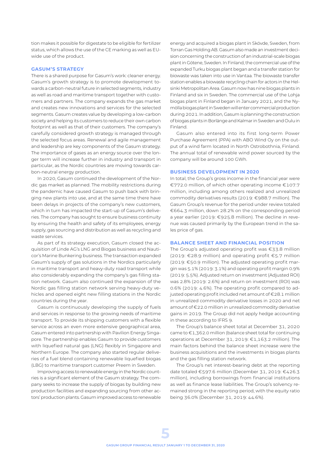tion makes it possible for digestate to be eligible for fertilizer status, which allows the use of the CE marking as well as EUwide use of the product.

#### **GASUM'S STRATEGY**

There is a shared purpose for Gasum's work: cleaner energy. Gasum's growth strategy is to promote development towards a carbon-neutral future in selected segments, industry as well as road and maritime transport together with customers and partners. The company expands the gas market and creates new innovations and services for the selected segments. Gasum creates value by developing a low-carbon society and helping its customers to reduce their own carbon footprint as well as that of their customers. The company's carefully considered growth strategy is managed through the selected focus areas. Renewal and agile management and leadership are key components of the Gasum strategy. The importance of gases as an energy source over the longer term will increase further in industry and transport in particular, as the Nordic countries are moving towards carbon-neutral energy production.

In 2020, Gasum continued the development of the Nordic gas market as planned. The mobility restrictions during the pandemic have caused Gasum to push back with bringing new plants into use, and at the same time there have been delays in projects of the company's new customers, which in turn has impacted the start-up of Gasum's deliveries. The company has sought to ensure business continuity by ensuring the health and safety of its employees, energy supply, gas sourcing and distribution as well as recycling and waste services.

As part of its strategy execution, Gasum closed the acquisition of Linde AG's LNG and Biogas business and Nauticor's Marine Bunkering business. The transaction expanded Gasum's supply of gas solutions in the Nordics particularly in maritime transport and heavy-duty road transport while also considerably expanding the company's gas filling station network. Gasum also continued the expansion of the Nordic gas filling station network serving heavy-duty vehicles and opened eight new filling stations in the Nordic countries during the year.

Gasum is continuously developing the supply of fuels and services in response to the growing needs of maritime transport. To provide its shipping customers with a flexible service across an even more extensive geographical area, Gasum entered into partnership with Pavilion Energy Singapore. The partnership enables Gasum to provide customers with liquefied natural gas (LNG) flexibly in Singapore and Northern Europe. The company also started regular deliveries of a fuel blend containing renewable liquefied biogas (LBG) to maritime transport customer Preem in Sweden.

Improving access to renewable energy in the Nordic countries is a significant element of the Gasum strategy. The company seeks to increase the supply of biogas by building new production facilities and expanding sourcing from other actors' production plants. Gasum improved access to renewable energy and acquired a biogas plant in Skövde, Sweden, from Torran Gas Holding AB. Gasum also made an investment decision concerning the construction of an industrial-scale biogas plant in Götene, Sweden. In Finland, the commercial use of the expanded Turku biogas plant began and a transfer station for biowaste was taken into use in Vantaa. The biowaste transfer station enables a biowaste recycling chain for actors in the Helsinki Metropolitan Area. Gasum now has nine biogas plants in Finland and six in Sweden. The commercial use of the Lohja biogas plant in Finland began in January 2021, and the Nymölla biogas plant in Sweden will enter commercial production during 2021. In addition, Gasum is planning the construction of biogas plants in Borlänge and Kalmar in Sweden and Oulu in Finland.

Gasum also entered into its first long-term Power Purchase Agreement (PPA) with ABO Wind Oy on the output of a wind farm located in North Ostrobothnia, Finland. The annual total of renewable wind power sourced by the company will be around 100 GWh.

#### **BUSINESS DEVELOPMENT IN 2020**

In total, the Group's gross income in the financial year were €772.0 million, of which other operating income €107.7 million, including among others realized and unrealized commodity derivatives results (2019: €988.7 million). The Gasum Group's revenue for the period under review totaled €664.3 million, down 28.2% on the corresponding period a year earlier (2019: €925.8 million). The decline in revenue was caused primarily by the European trend in the sales price of gas.

#### **BALANCE SHEET AND FINANCIAL POSITION**

The Group's adjusted operating profit was €33.8 million (2019: €28.9 million) and operating profit €5.7 million (2019: €50.9 million). The adjusted operating profit margin was 5.1% (2019: 3.1%) and operating profit margin 0.9% (2019: 5.5%). Adjusted return on investment (Adjusted ROI) was 2.8% (2019: 2.6%) and return on investment (ROI) was 0.6% (2019: 4.6%). The operating profit compared to adjusted operating profit included net amount of €28.1 million in unrealized commodity derivative losses in 2020 and net amount of €22.0 million in unrealized commodity derivative gains in 2019. The Group did not apply hedge accounting in these according to IFRS 9.

The Group's balance sheet total at December 31, 2020 came to €1,362.0 million (balance sheet total for continuing operations at December 31, 2019: €1,163.2 million). The main factors behind the balance sheet increase were the business acquisitions and the investments in biogas plants and the gas filling station network.

The Group's net interest-bearing debt at the reporting date totaled €597.6 million (December 31, 2019: €426.3 million), including borrowings from financial institutions as well as finance lease liabilities. The Group's solvency remained strong in the reporting period, with the equity ratio being 36.0% (December 31, 2019: 44.6%).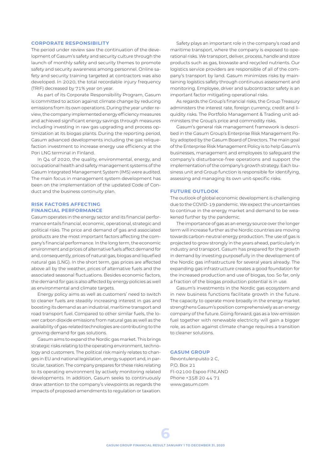#### **CORPORATE RESPONSIBILITY**

The period under review saw the continuation of the development of Gasum's safety and security culture through the launch of monthly safety and security themes to promote safety and security awareness among personnel. Online safety and security training targeted at contractors was also developed. In 2020, the total recordable injury frequency (TRIF) decreased by 71% year on year.

As part of its Corporate Responsibility Program, Gasum is committed to action against climate change by reducing emissions from its own operations. During the year under review, the company implemented energy efficiency measures and achieved significant energy savings through measures including investing in raw gas upgrading and process optimization at its biogas plants. During the reporting period, Gasum advanced developments including the gas reliquefaction investment to increase energy use efficiency at the Pori LNG terminal in Finland.

In Q4 of 2020, the quality, environmental, energy, and occupational health and safety management systems of the Gasum Integrated Management System (IMS) were audited. The main focus in management system development has been on the implementation of the updated Code of Conduct and the business continuity plan.

### **RISK FACTORS AFFECTING FINANCIAL PERFORMANCE**

Gasum operates in the energy sector and its financial performance entails financial, economic, operational, strategic and political risks. The price and demand of gas and associated products are the most important factors affecting the company's financial performance. In the long term, the economic environment and prices of alternative fuels affect demand for and, consequently, prices of natural gas, biogas and liquefied natural gas (LNG). In the short term, gas prices are affected above all by the weather, prices of alternative fuels and the associated seasonal fluctuations. Besides economic factors, the demand for gas is also affected by energy policies as well as environmental and climate targets.

Energy policy aims as well as customers' need to switch to cleaner fuels are steadily increasing interest in gas and boosting its demand as an industrial, maritime transport and road transport fuel. Compared to other similar fuels, the lower carbon dioxide emissions from natural gas as well as the availability of gas-related technologies are contributing to the growing demand for gas solutions.

Gasum aims to expand the Nordic gas market. This brings strategic risks relating to the operating environment, technology and customers. The political risk mainly relates to changes in EU and national legislation, energy support and, in particular, taxation. The company prepares for these risks relating to its operating environment by actively monitoring related developments. In addition, Gasum seeks to continuously draw attention to the company's viewpoints as regards the impacts of proposed amendments to regulation or taxation.

Safety plays an important role in the company's road and maritime transport, where the company is exposed to operational risks. We transport, deliver, process, handle and store products such as gas, biowaste and recycled nutrients. Our logistics service providers are responsible of all of the company's transport by land. Gasum minimizes risks by maintaining logistics safety through continuous assessment and monitoring. Employee, driver and subcontractor safety is an important factor mitigating operational risks.

As regards the Group's financial risks, the Group Treasury administers the interest rate, foreign currency, credit and liquidity risks. The Portfolio Management & Trading unit administers the Group's price and commodity risks.

Gasum's general risk management framework is described in the Gasum Group's Enterprise Risk Management Policy adopted by the Gasum Board of Directors. The main goal of the Enterprise Risk Management Policy is to help Gasum's businesses, management and employees to safeguard the company's disturbance-free operations and support the implementation of the company's growth strategy. Each business unit and Group function is responsible for identifying, assessing and managing its own unit-specific risks.

#### **FUTURE OUTLOOK**

The outlook of global economic development is challenging due to the COVID-19 pandemic. We expect the uncertainties to continue in the energy market and demand to be weakened further by the pandemic.

The importance of gas as an energy source over the longer term will increase further as the Nordic countries are moving towards carbon-neutral energy production. The use of gas is projected to grow strongly in the years ahead, particularly in industry and transport. Gasum has prepared for the growth in demand by investing purposefully in the development of the Nordic gas infrastructure for several years already. The expanding gas infrastructure creates a good foundation for the increased production and use of biogas, too. So far, only a fraction of the biogas production potential is in use.

Gasum's investments in the Nordic gas ecosystem and in new business functions facilitate growth in the future. The capacity to operate more broadly in the energy market strengthens Gasum's position comprehensively as an energy company of the future. Going forward, gas as a low-emission fuel together with renewable electricity will gain a bigger role, as action against climate change requires a transition to cleaner solutions.

#### **GASUM GROUP**

Revontulenpuisto 2 C, P.O. Box 21 FI-02100 Espoo FINLAND Phone +358 20 44 71 www.gasum.com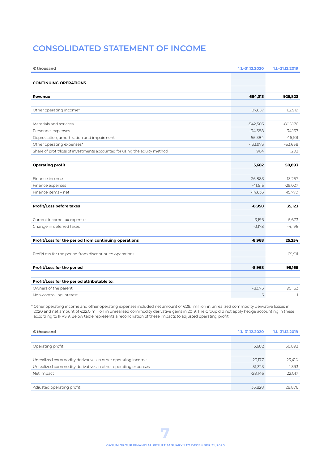## **CONSOLIDATED STATEMENT OF INCOME**

| € thousand                                                                | 1.1. - 31.12.2020 | $1.1 - 31.12.2019$ |
|---------------------------------------------------------------------------|-------------------|--------------------|
|                                                                           |                   |                    |
| <b>CONTINUING OPERATIONS</b>                                              |                   |                    |
| Revenue                                                                   | 664,313           | 925,823            |
|                                                                           |                   |                    |
| Other operating income*                                                   | 107,657           | 62,919             |
| Materials and services                                                    | $-542,505$        | $-805,176$         |
| Personnel expenses                                                        | $-34,388$         | $-34,137$          |
| Depreciation, amortization and impairment                                 | $-56,384$         | $-46,101$          |
| Other operating expenses*                                                 | $-133,973$        | $-53,638$          |
| Share of profit/loss of investments accounted for using the equity method | 964               | 1,203              |
| <b>Operating profit</b>                                                   | 5,682             | 50,893             |
|                                                                           |                   |                    |
| Finance income                                                            | 26,883            | 13,257             |
| Finance expenses                                                          | $-41,515$         | $-29,027$          |
| Finance items - net                                                       | $-14,633$         | $-15,770$          |
| Profit/Loss before taxes                                                  | $-8,950$          | 35,123             |
| Current income tax expense                                                | $-3,196$          | $-5,673$           |
| Change in deferred taxes                                                  | $-3,178$          | $-4,196$           |
| Profit/Loss for the period from continuing operations                     | $-8,968$          | 25,254             |
| Profi/Loss for the period from discontinued operations                    |                   | 69,911             |
| Profit/Loss for the period                                                | $-8,968$          | 95,165             |
| Profit/Loss for the period attributable to:                               |                   |                    |
| Owners of the parent                                                      | $-8,973$          | 95,163             |
| Non-controlling interest                                                  | 5                 | $\mathbb{I}$       |

\* Other operating income and other operating expenses included net amount of €28.1 million in unrealized commodity derivative losses in 2020 and net amount of €22.0 million in unrealized commodity derivative gains in 2019. The Group did not apply hedge accounting in these according to IFRS 9. Below table represents a reconciliation of these impacts to adjusted operating profit.

| € thousand                                                   | $1.1 - 31.12.2020$ | $1.1 - 31.12.2019$ |
|--------------------------------------------------------------|--------------------|--------------------|
|                                                              |                    |                    |
| Operating profit                                             | 5,682              | 50,893             |
|                                                              |                    |                    |
| Unrealized commodity derivatives in other operating income   | 23,177             | 23,410             |
| Unrealized commodity derivatives in other operating expenses | $-51,323$          | $-1,393$           |
| Net impact                                                   | $-28.146$          | 22.017             |
|                                                              |                    |                    |
| Adjusted operating profit                                    | 33,828             | 28,876             |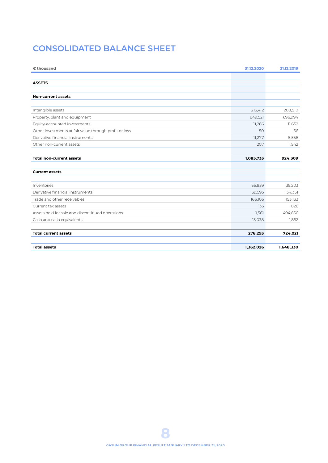# **CONSOLIDATED BALANCE SHEET**

| € thousand                                             | 31.12.2020 | 31.12.2019 |
|--------------------------------------------------------|------------|------------|
|                                                        |            |            |
| <b>ASSETS</b>                                          |            |            |
|                                                        |            |            |
| <b>Non-current assets</b>                              |            |            |
|                                                        |            |            |
| Intangible assets                                      | 213,412    | 208,510    |
| Property, plant and equipment                          | 849,521    | 696,994    |
| Equity-accounted investments                           | 11,266     | 11,652     |
| Other investments at fair value through profit or loss | 50         | 56         |
| Derivative financial instruments                       | 11,277     | 5,556      |
| Other non-current assets                               | 207        | 1,542      |
|                                                        |            |            |
| <b>Total non-current assets</b>                        | 1,085,733  | 924,309    |
|                                                        |            |            |
| <b>Current assets</b>                                  |            |            |
|                                                        |            |            |
| Inventories                                            | 55,859     | 39,203     |
| Derivative financial instruments                       | 39,595     | 34,351     |
| Trade and other receivables                            | 166,105    | 153,133    |
| Current tax assets                                     | 135        | 826        |
| Assets held for sale and discontinued operations       | 1,561      | 494,656    |
| Cash and cash equivalents                              | 13,038     | 1,852      |
| <b>Total current assets</b>                            | 276,293    | 724,021    |
|                                                        |            |            |
| <b>Total assets</b>                                    | 1,362,026  | 1,648,330  |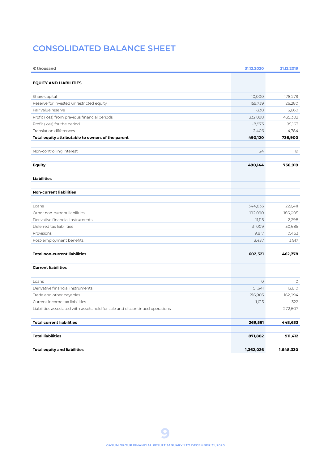# **CONSOLIDATED BALANCE SHEET**

| € thousand                                                                   | 31.12.2020 | 31.12.2019          |
|------------------------------------------------------------------------------|------------|---------------------|
|                                                                              |            |                     |
| <b>EQUITY AND LIABILITIES</b>                                                |            |                     |
| Share capital                                                                | 10,000     | 178,279             |
| Reserve for invested unrestricted equity                                     | 159,739    | 26,280              |
| Fair value reserve                                                           | $-338$     | 6,660               |
| Profit (loss) from previous financial periods                                | 332,098    | 435,302             |
| Profit (loss) for the period                                                 | $-8,973$   | 95,163              |
| <b>Translation differences</b>                                               | $-2,406$   | $-4,784$            |
| Total equity attributable to owners of the parent                            | 490,120    | 736,900             |
|                                                                              |            |                     |
| Non-controlling interest                                                     | 24         | 19                  |
| Equity                                                                       | 490,144    | 736,919             |
|                                                                              |            |                     |
| <b>Liabilities</b>                                                           |            |                     |
|                                                                              |            |                     |
| <b>Non-current liabilities</b>                                               |            |                     |
|                                                                              |            |                     |
| Loans                                                                        | 344,833    | 229,411             |
| Other non-current liabilities                                                | 192,090    | 186,005             |
| Derivative financial instruments                                             | 11,115     | 2,298               |
| Deferred tax liabilities                                                     | 31,009     | 30,685              |
| Provisions                                                                   | 19,817     | 10,463              |
| Post-employment benefits                                                     | 3,457      | 3,917               |
|                                                                              |            |                     |
| <b>Total non-current liabilities</b>                                         | 602,321    | 462,778             |
| <b>Current liabilities</b>                                                   |            |                     |
|                                                                              |            |                     |
| Loans                                                                        | $\circ$    | $\circlearrowright$ |
| Derivative financial instruments                                             | 51,641     | 13,610              |
| Trade and other payables                                                     | 216,905    | 162,094             |
| Current income tax liabilities                                               | 1,015      | 322                 |
| Liabilities associated with assets held for sale and discontinued operations |            | 272,607             |
| <b>Total current liabilities</b>                                             | 269,561    | 448,633             |
|                                                                              |            |                     |
| <b>Total liabilities</b>                                                     | 871,882    | 911,412             |
| <b>Total equity and liabilities</b>                                          | 1,362,026  | 1,648,330           |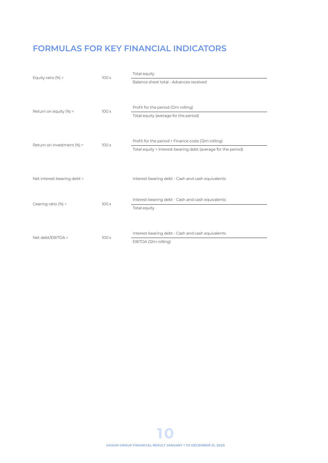# **FORMULAS FOR KEY FINANCIAL INDICATORS**

| Equity ratio $(\%) =$<br>100x |      | Total equity                                                  |  |
|-------------------------------|------|---------------------------------------------------------------|--|
|                               |      | Balance sheet total - Advances received                       |  |
|                               |      |                                                               |  |
|                               |      |                                                               |  |
| Return on equity $(\%) =$     | 100x | Profit for the period (12m rolling)                           |  |
|                               |      | Total equity (average for the period)                         |  |
|                               |      |                                                               |  |
|                               |      |                                                               |  |
| Return on investment (%) =    | 100x | Profit for the period + Finance costs (12m rolling)           |  |
|                               |      | Total equity + Interest-bearing debt (average for the period) |  |
|                               |      |                                                               |  |
|                               |      |                                                               |  |
| Net interest-bearing debt =   |      | Interest-bearing debt - Cash and cash equivalents             |  |
|                               |      |                                                               |  |
| Gearing ratio $(\%) =$        | 100x | Interest-bearing debt - Cash and cash equivalents             |  |
|                               |      | Total equity                                                  |  |
|                               |      |                                                               |  |
|                               |      |                                                               |  |
| Net debt/EBITDA =             | 100x | Interest-bearing debt - Cash and cash equivalents             |  |
|                               |      | EBITDA (12m rolling)                                          |  |